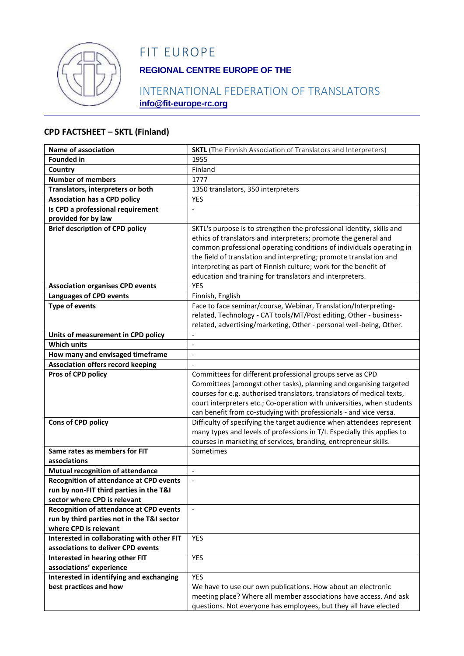

# FIT EUROPE

## **REGIONAL CENTRE EUROPE OF THE**

## INTERNATIONAL FEDERATION OF TRANSLATORS **info@fit-europe-rc.org**

#### **CPD FACTSHEET – SKTL (Finland)**

| <b>Name of association</b>                                                                | <b>SKTL</b> (The Finnish Association of Translators and Interpreters)                                                                   |
|-------------------------------------------------------------------------------------------|-----------------------------------------------------------------------------------------------------------------------------------------|
| <b>Founded in</b>                                                                         | 1955                                                                                                                                    |
| Country                                                                                   | Finland                                                                                                                                 |
| <b>Number of members</b>                                                                  | 1777                                                                                                                                    |
| Translators, interpreters or both                                                         | 1350 translators, 350 interpreters                                                                                                      |
| <b>Association has a CPD policy</b>                                                       | YES                                                                                                                                     |
| Is CPD a professional requirement                                                         |                                                                                                                                         |
| provided for by law                                                                       |                                                                                                                                         |
| <b>Brief description of CPD policy</b>                                                    | SKTL's purpose is to strengthen the professional identity, skills and                                                                   |
|                                                                                           | ethics of translators and interpreters; promote the general and<br>common professional operating conditions of individuals operating in |
|                                                                                           | the field of translation and interpreting; promote translation and                                                                      |
|                                                                                           | interpreting as part of Finnish culture; work for the benefit of                                                                        |
|                                                                                           | education and training for translators and interpreters.                                                                                |
| <b>Association organises CPD events</b>                                                   | <b>YES</b>                                                                                                                              |
| <b>Languages of CPD events</b>                                                            | Finnish, English                                                                                                                        |
| <b>Type of events</b>                                                                     | Face to face seminar/course, Webinar, Translation/Interpreting-                                                                         |
|                                                                                           | related, Technology - CAT tools/MT/Post editing, Other - business-                                                                      |
|                                                                                           | related, advertising/marketing, Other - personal well-being, Other.                                                                     |
| Units of measurement in CPD policy                                                        |                                                                                                                                         |
| <b>Which units</b>                                                                        | $\overline{\phantom{a}}$                                                                                                                |
| How many and envisaged timeframe                                                          | $\overline{a}$                                                                                                                          |
| <b>Association offers record keeping</b>                                                  |                                                                                                                                         |
| Pros of CPD policy                                                                        | Committees for different professional groups serve as CPD                                                                               |
|                                                                                           | Committees (amongst other tasks), planning and organising targeted                                                                      |
|                                                                                           | courses for e.g. authorised translators, translators of medical texts,                                                                  |
|                                                                                           | court interpreters etc.; Co-operation with universities, when students                                                                  |
|                                                                                           | can benefit from co-studying with professionals - and vice versa.                                                                       |
| Cons of CPD policy                                                                        | Difficulty of specifying the target audience when attendees represent                                                                   |
|                                                                                           | many types and levels of professions in T/I. Especially this applies to                                                                 |
|                                                                                           | courses in marketing of services, branding, entrepreneur skills.                                                                        |
| Same rates as members for FIT                                                             | Sometimes                                                                                                                               |
| associations                                                                              |                                                                                                                                         |
| <b>Mutual recognition of attendance</b>                                                   | $\overline{\phantom{a}}$                                                                                                                |
| <b>Recognition of attendance at CPD events</b><br>run by non-FIT third parties in the T&I |                                                                                                                                         |
| sector where CPD is relevant                                                              |                                                                                                                                         |
| <b>Recognition of attendance at CPD events</b>                                            |                                                                                                                                         |
| run by third parties not in the T&I sector                                                |                                                                                                                                         |
| where CPD is relevant                                                                     |                                                                                                                                         |
| Interested in collaborating with other FIT                                                | YES                                                                                                                                     |
| associations to deliver CPD events                                                        |                                                                                                                                         |
| Interested in hearing other FIT                                                           | YES                                                                                                                                     |
| associations' experience                                                                  |                                                                                                                                         |
| Interested in identifying and exchanging                                                  | <b>YES</b>                                                                                                                              |
| best practices and how                                                                    | We have to use our own publications. How about an electronic                                                                            |
|                                                                                           | meeting place? Where all member associations have access. And ask                                                                       |
|                                                                                           | questions. Not everyone has employees, but they all have elected                                                                        |